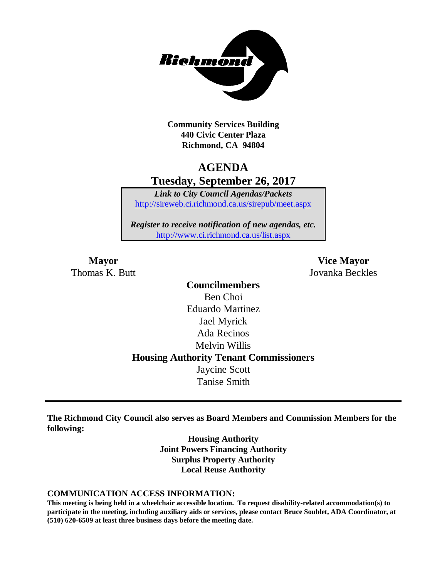

**Community Services Building 440 Civic Center Plaza Richmond, CA 94804**

# **AGENDA Tuesday, September 26, 2017**

*Link to City Council Agendas/Packets* <http://sireweb.ci.richmond.ca.us/sirepub/meet.aspx>

*Register to receive notification of new agendas, etc.* <http://www.ci.richmond.ca.us/list.aspx>

**Mayor Vice Mayor** Thomas K. Butt Jovanka Beckles

> **Councilmembers** Ben Choi Eduardo Martinez Jael Myrick Ada Recinos Melvin Willis **Housing Authority Tenant Commissioners** Jaycine Scott Tanise Smith

**The Richmond City Council also serves as Board Members and Commission Members for the following:**

> **Housing Authority Joint Powers Financing Authority Surplus Property Authority Local Reuse Authority**

#### **COMMUNICATION ACCESS INFORMATION:**

**This meeting is being held in a wheelchair accessible location. To request disability-related accommodation(s) to participate in the meeting, including auxiliary aids or services, please contact Bruce Soublet, ADA Coordinator, at (510) 620-6509 at least three business days before the meeting date.**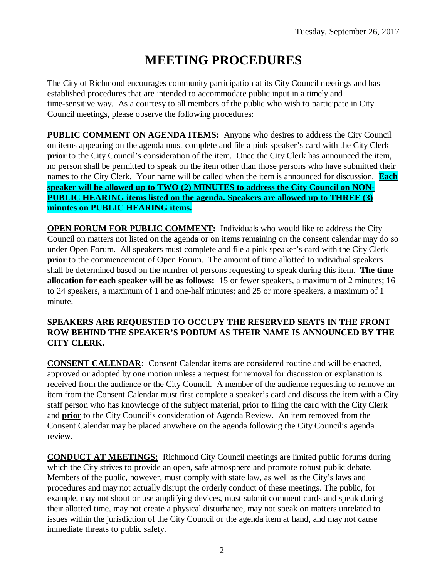# **MEETING PROCEDURES**

The City of Richmond encourages community participation at its City Council meetings and has established procedures that are intended to accommodate public input in a timely and time-sensitive way. As a courtesy to all members of the public who wish to participate in City Council meetings, please observe the following procedures:

**PUBLIC COMMENT ON AGENDA ITEMS:** Anyone who desires to address the City Council on items appearing on the agenda must complete and file a pink speaker's card with the City Clerk **prior** to the City Council's consideration of the item. Once the City Clerk has announced the item, no person shall be permitted to speak on the item other than those persons who have submitted their names to the City Clerk. Your name will be called when the item is announced for discussion. **Each speaker will be allowed up to TWO (2) MINUTES to address the City Council on NON-PUBLIC HEARING items listed on the agenda. Speakers are allowed up to THREE (3) minutes on PUBLIC HEARING items.**

**OPEN FORUM FOR PUBLIC COMMENT:** Individuals who would like to address the City Council on matters not listed on the agenda or on items remaining on the consent calendar may do so under Open Forum. All speakers must complete and file a pink speaker's card with the City Clerk **prior** to the commencement of Open Forum. The amount of time allotted to individual speakers shall be determined based on the number of persons requesting to speak during this item. **The time allocation for each speaker will be as follows:** 15 or fewer speakers, a maximum of 2 minutes; 16 to 24 speakers, a maximum of 1 and one-half minutes; and 25 or more speakers, a maximum of 1 minute.

### **SPEAKERS ARE REQUESTED TO OCCUPY THE RESERVED SEATS IN THE FRONT ROW BEHIND THE SPEAKER'S PODIUM AS THEIR NAME IS ANNOUNCED BY THE CITY CLERK.**

**CONSENT CALENDAR:** Consent Calendar items are considered routine and will be enacted, approved or adopted by one motion unless a request for removal for discussion or explanation is received from the audience or the City Council. A member of the audience requesting to remove an item from the Consent Calendar must first complete a speaker's card and discuss the item with a City staff person who has knowledge of the subject material, prior to filing the card with the City Clerk and **prior** to the City Council's consideration of Agenda Review. An item removed from the Consent Calendar may be placed anywhere on the agenda following the City Council's agenda review.

**CONDUCT AT MEETINGS:** Richmond City Council meetings are limited public forums during which the City strives to provide an open, safe atmosphere and promote robust public debate. Members of the public, however, must comply with state law, as well as the City's laws and procedures and may not actually disrupt the orderly conduct of these meetings. The public, for example, may not shout or use amplifying devices, must submit comment cards and speak during their allotted time, may not create a physical disturbance, may not speak on matters unrelated to issues within the jurisdiction of the City Council or the agenda item at hand, and may not cause immediate threats to public safety.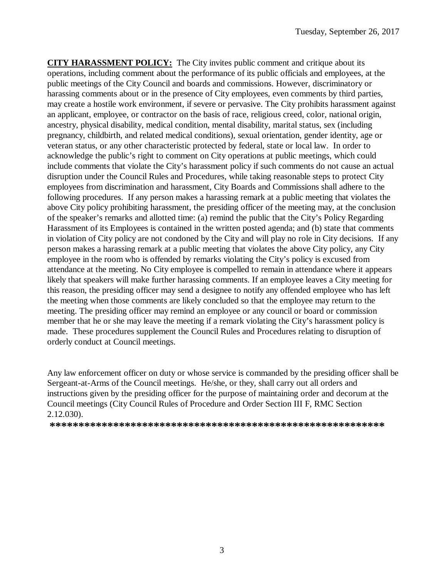**CITY HARASSMENT POLICY:** The City invites public comment and critique about its operations, including comment about the performance of its public officials and employees, at the public meetings of the City Council and boards and commissions. However, discriminatory or harassing comments about or in the presence of City employees, even comments by third parties, may create a hostile work environment, if severe or pervasive. The City prohibits harassment against an applicant, employee, or contractor on the basis of race, religious creed, color, national origin, ancestry, physical disability, medical condition, mental disability, marital status, sex (including pregnancy, childbirth, and related medical conditions), sexual orientation, gender identity, age or veteran status, or any other characteristic protected by federal, state or local law. In order to acknowledge the public's right to comment on City operations at public meetings, which could include comments that violate the City's harassment policy if such comments do not cause an actual disruption under the Council Rules and Procedures, while taking reasonable steps to protect City employees from discrimination and harassment, City Boards and Commissions shall adhere to the following procedures. If any person makes a harassing remark at a public meeting that violates the above City policy prohibiting harassment, the presiding officer of the meeting may, at the conclusion of the speaker's remarks and allotted time: (a) remind the public that the City's Policy Regarding Harassment of its Employees is contained in the written posted agenda; and (b) state that comments in violation of City policy are not condoned by the City and will play no role in City decisions. If any person makes a harassing remark at a public meeting that violates the above City policy, any City employee in the room who is offended by remarks violating the City's policy is excused from attendance at the meeting. No City employee is compelled to remain in attendance where it appears likely that speakers will make further harassing comments. If an employee leaves a City meeting for this reason, the presiding officer may send a designee to notify any offended employee who has left the meeting when those comments are likely concluded so that the employee may return to the meeting. The presiding officer may remind an employee or any council or board or commission member that he or she may leave the meeting if a remark violating the City's harassment policy is made. These procedures supplement the Council Rules and Procedures relating to disruption of orderly conduct at Council meetings.

Any law enforcement officer on duty or whose service is commanded by the presiding officer shall be Sergeant-at-Arms of the Council meetings. He/she, or they, shall carry out all orders and instructions given by the presiding officer for the purpose of maintaining order and decorum at the Council meetings (City Council Rules of Procedure and Order Section III F, RMC Section 2.12.030).

**\*\*\*\*\*\*\*\*\*\*\*\*\*\*\*\*\*\*\*\*\*\*\*\*\*\*\*\*\*\*\*\*\*\*\*\*\*\*\*\*\*\*\*\*\*\*\*\*\*\*\*\*\*\*\*\*\*\***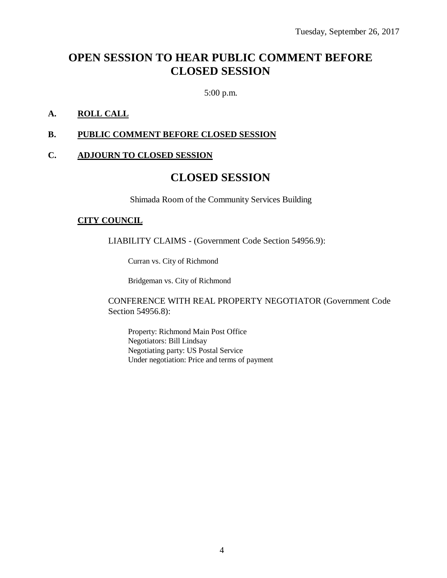# **OPEN SESSION TO HEAR PUBLIC COMMENT BEFORE CLOSED SESSION**

5:00 p.m.

### **A. ROLL CALL**

### **B. PUBLIC COMMENT BEFORE CLOSED SESSION**

# **C. ADJOURN TO CLOSED SESSION**

# **CLOSED SESSION**

Shimada Room of the Community Services Building

#### **CITY COUNCIL**

LIABILITY CLAIMS - (Government Code Section 54956.9):

Curran vs. City of Richmond

Bridgeman vs. City of Richmond

CONFERENCE WITH REAL PROPERTY NEGOTIATOR (Government Code Section 54956.8):

Property: Richmond Main Post Office Negotiators: Bill Lindsay Negotiating party: US Postal Service Under negotiation: Price and terms of payment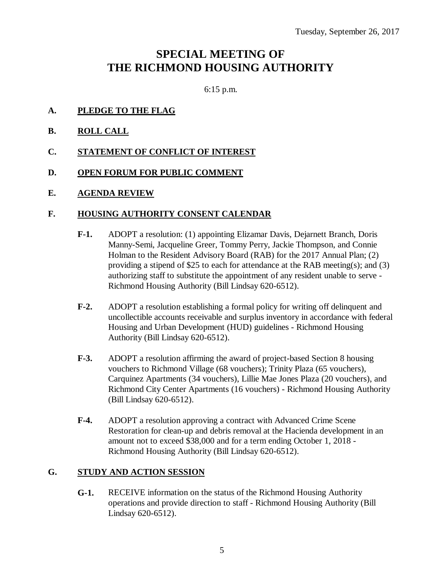# **SPECIAL MEETING OF THE RICHMOND HOUSING AUTHORITY**

6:15 p.m.

- **A. PLEDGE TO THE FLAG**
- **B. ROLL CALL**
- **C. STATEMENT OF CONFLICT OF INTEREST**
- **D. OPEN FORUM FOR PUBLIC COMMENT**
- **E. AGENDA REVIEW**

### **F. HOUSING AUTHORITY CONSENT CALENDAR**

- **F-1.** ADOPT a resolution: (1) appointing Elizamar Davis, Dejarnett Branch, Doris Manny-Semi, Jacqueline Greer, Tommy Perry, Jackie Thompson, and Connie Holman to the Resident Advisory Board (RAB) for the 2017 Annual Plan; (2) providing a stipend of \$25 to each for attendance at the RAB meeting(s); and (3) authorizing staff to substitute the appointment of any resident unable to serve - Richmond Housing Authority (Bill Lindsay 620-6512).
- **F-2.** ADOPT a resolution establishing a formal policy for writing off delinquent and uncollectible accounts receivable and surplus inventory in accordance with federal Housing and Urban Development (HUD) guidelines - Richmond Housing Authority (Bill Lindsay 620-6512).
- **F-3.** ADOPT a resolution affirming the award of project-based Section 8 housing vouchers to Richmond Village (68 vouchers); Trinity Plaza (65 vouchers), Carquinez Apartments (34 vouchers), Lillie Mae Jones Plaza (20 vouchers), and Richmond City Center Apartments (16 vouchers) - Richmond Housing Authority (Bill Lindsay 620-6512).
- **F-4.** ADOPT a resolution approving a contract with Advanced Crime Scene Restoration for clean-up and debris removal at the Hacienda development in an amount not to exceed \$38,000 and for a term ending October 1, 2018 - Richmond Housing Authority (Bill Lindsay 620-6512).

### **G. STUDY AND ACTION SESSION**

**G-1.** RECEIVE information on the status of the Richmond Housing Authority operations and provide direction to staff - Richmond Housing Authority (Bill Lindsay 620-6512).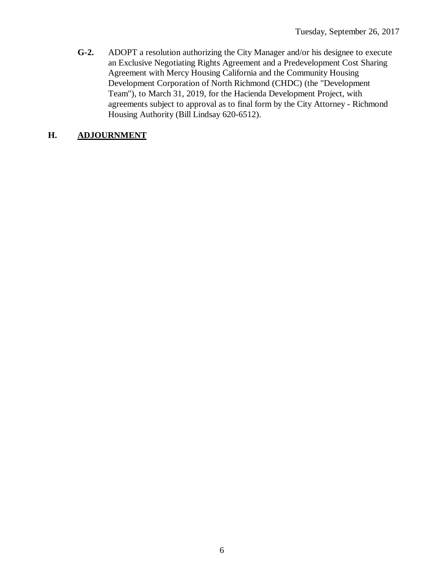**G-2.** ADOPT a resolution authorizing the City Manager and/or his designee to execute an Exclusive Negotiating Rights Agreement and a Predevelopment Cost Sharing Agreement with Mercy Housing California and the Community Housing Development Corporation of North Richmond (CHDC) (the "Development Team"), to March 31, 2019, for the Hacienda Development Project, with agreements subject to approval as to final form by the City Attorney - Richmond Housing Authority (Bill Lindsay 620-6512).

### **H. ADJOURNMENT**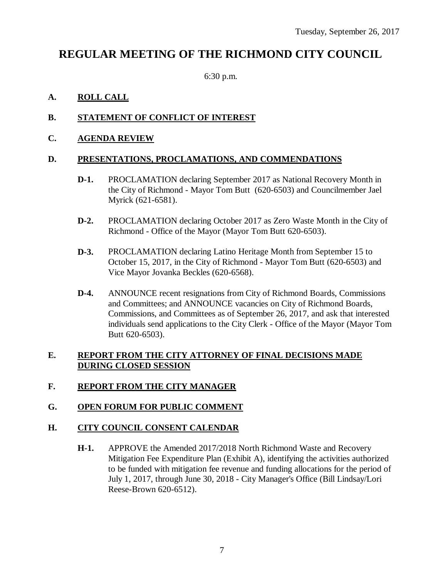# **REGULAR MEETING OF THE RICHMOND CITY COUNCIL**

6:30 p.m.

# **A. ROLL CALL**

# **B. STATEMENT OF CONFLICT OF INTEREST**

### **C. AGENDA REVIEW**

### **D. PRESENTATIONS, PROCLAMATIONS, AND COMMENDATIONS**

- **D-1.** PROCLAMATION declaring September 2017 as National Recovery Month in the City of Richmond - Mayor Tom Butt (620-6503) and Councilmember Jael Myrick (621-6581).
- **D-2.** PROCLAMATION declaring October 2017 as Zero Waste Month in the City of Richmond - Office of the Mayor (Mayor Tom Butt 620-6503).
- **D-3.** PROCLAMATION declaring Latino Heritage Month from September 15 to October 15, 2017, in the City of Richmond - Mayor Tom Butt (620-6503) and Vice Mayor Jovanka Beckles (620-6568).
- **D-4.** ANNOUNCE recent resignations from City of Richmond Boards, Commissions and Committees; and ANNOUNCE vacancies on City of Richmond Boards, Commissions, and Committees as of September 26, 2017, and ask that interested individuals send applications to the City Clerk - Office of the Mayor (Mayor Tom Butt 620-6503).

### **E. REPORT FROM THE CITY ATTORNEY OF FINAL DECISIONS MADE DURING CLOSED SESSION**

### **F. REPORT FROM THE CITY MANAGER**

### **G. OPEN FORUM FOR PUBLIC COMMENT**

### **H. CITY COUNCIL CONSENT CALENDAR**

**H-1.** APPROVE the Amended 2017/2018 North Richmond Waste and Recovery Mitigation Fee Expenditure Plan (Exhibit A), identifying the activities authorized to be funded with mitigation fee revenue and funding allocations for the period of July 1, 2017, through June 30, 2018 - City Manager's Office (Bill Lindsay/Lori Reese-Brown 620-6512).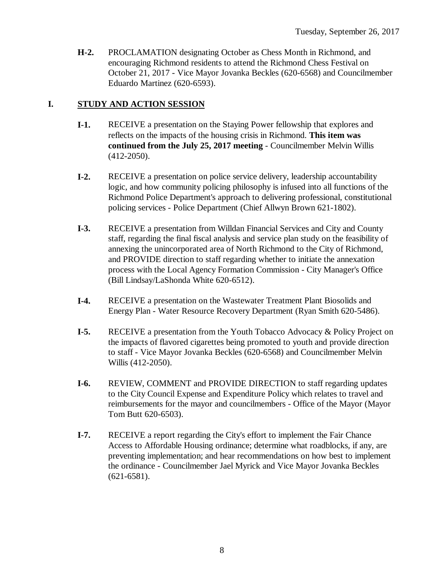**H-2.** PROCLAMATION designating October as Chess Month in Richmond, and encouraging Richmond residents to attend the Richmond Chess Festival on October 21, 2017 - Vice Mayor Jovanka Beckles (620-6568) and Councilmember Eduardo Martinez (620-6593).

### **I. STUDY AND ACTION SESSION**

- **I-1.** RECEIVE a presentation on the Staying Power fellowship that explores and reflects on the impacts of the housing crisis in Richmond. **This item was continued from the July 25, 2017 meeting** - Councilmember Melvin Willis (412-2050).
- **I-2.** RECEIVE a presentation on police service delivery, leadership accountability logic, and how community policing philosophy is infused into all functions of the Richmond Police Department's approach to delivering professional, constitutional policing services - Police Department (Chief Allwyn Brown 621-1802).
- **I-3.** RECEIVE a presentation from Willdan Financial Services and City and County staff, regarding the final fiscal analysis and service plan study on the feasibility of annexing the unincorporated area of North Richmond to the City of Richmond, and PROVIDE direction to staff regarding whether to initiate the annexation process with the Local Agency Formation Commission - City Manager's Office (Bill Lindsay/LaShonda White 620-6512).
- **I-4.** RECEIVE a presentation on the Wastewater Treatment Plant Biosolids and Energy Plan - Water Resource Recovery Department (Ryan Smith 620-5486).
- **I-5.** RECEIVE a presentation from the Youth Tobacco Advocacy & Policy Project on the impacts of flavored cigarettes being promoted to youth and provide direction to staff - Vice Mayor Jovanka Beckles (620-6568) and Councilmember Melvin Willis (412-2050).
- **I-6.** REVIEW, COMMENT and PROVIDE DIRECTION to staff regarding updates to the City Council Expense and Expenditure Policy which relates to travel and reimbursements for the mayor and councilmembers - Office of the Mayor (Mayor Tom Butt 620-6503).
- **I-7.** RECEIVE a report regarding the City's effort to implement the Fair Chance Access to Affordable Housing ordinance; determine what roadblocks, if any, are preventing implementation; and hear recommendations on how best to implement the ordinance - Councilmember Jael Myrick and Vice Mayor Jovanka Beckles (621-6581).